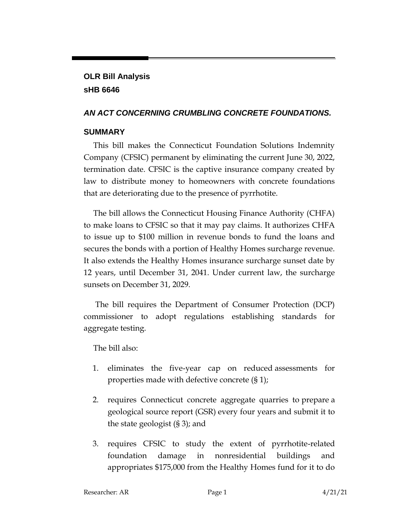## **OLR Bill Analysis sHB 6646**

#### *AN ACT CONCERNING CRUMBLING CONCRETE FOUNDATIONS.*

## **SUMMARY**

This bill makes the Connecticut Foundation Solutions Indemnity Company (CFSIC) permanent by eliminating the current June 30, 2022, termination date. CFSIC is the captive insurance company created by law to distribute money to homeowners with concrete foundations that are deteriorating due to the presence of pyrrhotite.

The bill allows the Connecticut Housing Finance Authority (CHFA) to make loans to CFSIC so that it may pay claims. It authorizes CHFA to issue up to \$100 million in revenue bonds to fund the loans and secures the bonds with a portion of Healthy Homes surcharge revenue. It also extends the Healthy Homes insurance surcharge sunset date by 12 years, until December 31, 2041. Under current law, the surcharge sunsets on December 31, 2029.

The bill requires the Department of Consumer Protection (DCP) commissioner to adopt regulations establishing standards for aggregate testing.

The bill also:

- 1. eliminates the five-year cap on reduced assessments for properties made with defective concrete (§ 1);
- 2. requires Connecticut concrete aggregate quarries to prepare a geological source report (GSR) every four years and submit it to the state geologist (§ 3); and
- 3. requires CFSIC to study the extent of pyrrhotite-related foundation damage in nonresidential buildings and appropriates \$175,000 from the Healthy Homes fund for it to do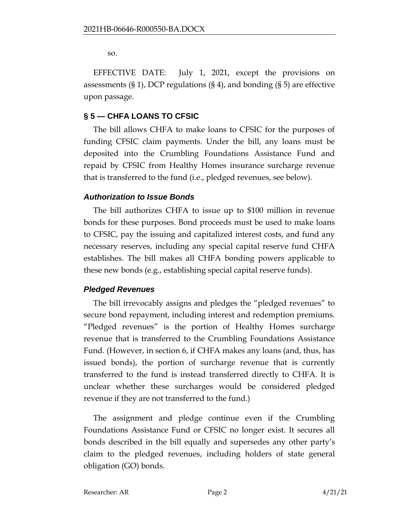so.

EFFECTIVE DATE: July 1, 2021, except the provisions on assessments (§ 1), DCP regulations (§ 4), and bonding (§ 5) are effective upon passage.

#### **§ 5 — CHFA LOANS TO CFSIC**

The bill allows CHFA to make loans to CFSIC for the purposes of funding CFSIC claim payments. Under the bill, any loans must be deposited into the Crumbling Foundations Assistance Fund and repaid by CFSIC from Healthy Homes insurance surcharge revenue that is transferred to the fund (i.e., pledged revenues, see below).

#### *Authorization to Issue Bonds*

The bill authorizes CHFA to issue up to \$100 million in revenue bonds for these purposes. Bond proceeds must be used to make loans to CFSIC, pay the issuing and capitalized interest costs, and fund any necessary reserves, including any special capital reserve fund CHFA establishes. The bill makes all CHFA bonding powers applicable to these new bonds (e.g., establishing special capital reserve funds).

#### *Pledged Revenues*

The bill irrevocably assigns and pledges the "pledged revenues" to secure bond repayment, including interest and redemption premiums. "Pledged revenues" is the portion of Healthy Homes surcharge revenue that is transferred to the Crumbling Foundations Assistance Fund. (However, in section 6, if CHFA makes any loans (and, thus, has issued bonds), the portion of surcharge revenue that is currently transferred to the fund is instead transferred directly to CHFA. It is unclear whether these surcharges would be considered pledged revenue if they are not transferred to the fund.)

The assignment and pledge continue even if the Crumbling Foundations Assistance Fund or CFSIC no longer exist. It secures all bonds described in the bill equally and supersedes any other party's claim to the pledged revenues, including holders of state general obligation (GO) bonds.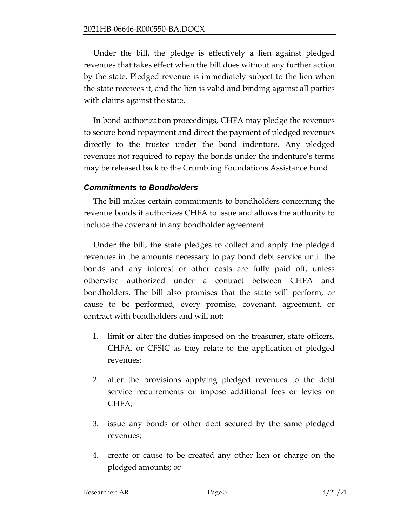Under the bill, the pledge is effectively a lien against pledged revenues that takes effect when the bill does without any further action by the state. Pledged revenue is immediately subject to the lien when the state receives it, and the lien is valid and binding against all parties with claims against the state.

In bond authorization proceedings, CHFA may pledge the revenues to secure bond repayment and direct the payment of pledged revenues directly to the trustee under the bond indenture. Any pledged revenues not required to repay the bonds under the indenture's terms may be released back to the Crumbling Foundations Assistance Fund.

#### *Commitments to Bondholders*

The bill makes certain commitments to bondholders concerning the revenue bonds it authorizes CHFA to issue and allows the authority to include the covenant in any bondholder agreement.

Under the bill, the state pledges to collect and apply the pledged revenues in the amounts necessary to pay bond debt service until the bonds and any interest or other costs are fully paid off, unless otherwise authorized under a contract between CHFA and bondholders. The bill also promises that the state will perform, or cause to be performed, every promise, covenant, agreement, or contract with bondholders and will not:

- 1. limit or alter the duties imposed on the treasurer, state officers, CHFA, or CFSIC as they relate to the application of pledged revenues;
- 2. alter the provisions applying pledged revenues to the debt service requirements or impose additional fees or levies on CHFA;
- 3. issue any bonds or other debt secured by the same pledged revenues;
- 4. create or cause to be created any other lien or charge on the pledged amounts; or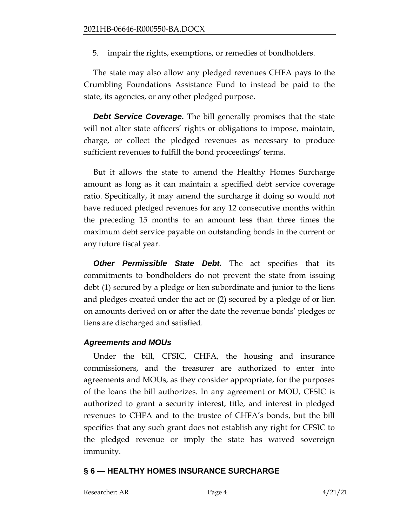5. impair the rights, exemptions, or remedies of bondholders.

The state may also allow any pledged revenues CHFA pays to the Crumbling Foundations Assistance Fund to instead be paid to the state, its agencies, or any other pledged purpose.

*Debt Service Coverage.* The bill generally promises that the state will not alter state officers' rights or obligations to impose, maintain, charge, or collect the pledged revenues as necessary to produce sufficient revenues to fulfill the bond proceedings' terms.

But it allows the state to amend the Healthy Homes Surcharge amount as long as it can maintain a specified debt service coverage ratio. Specifically, it may amend the surcharge if doing so would not have reduced pledged revenues for any 12 consecutive months within the preceding 15 months to an amount less than three times the maximum debt service payable on outstanding bonds in the current or any future fiscal year.

**Other Permissible State Debt.** The act specifies that its commitments to bondholders do not prevent the state from issuing debt (1) secured by a pledge or lien subordinate and junior to the liens and pledges created under the act or (2) secured by a pledge of or lien on amounts derived on or after the date the revenue bonds' pledges or liens are discharged and satisfied.

#### *Agreements and MOUs*

Under the bill, CFSIC, CHFA, the housing and insurance commissioners, and the treasurer are authorized to enter into agreements and MOUs, as they consider appropriate, for the purposes of the loans the bill authorizes. In any agreement or MOU, CFSIC is authorized to grant a security interest, title, and interest in pledged revenues to CHFA and to the trustee of CHFA's bonds, but the bill specifies that any such grant does not establish any right for CFSIC to the pledged revenue or imply the state has waived sovereign immunity.

#### **§ 6 — HEALTHY HOMES INSURANCE SURCHARGE**

Researcher: AR Page 4 4/21/21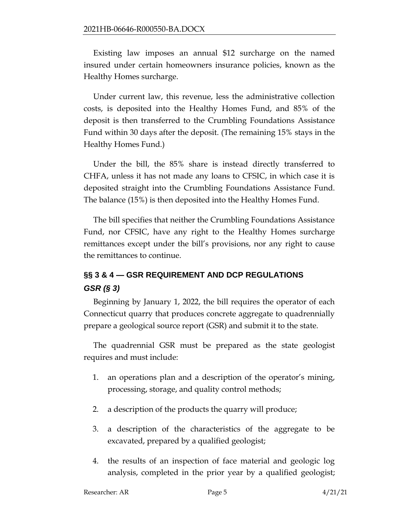Existing law imposes an annual \$12 surcharge on the named insured under certain homeowners insurance policies, known as the Healthy Homes surcharge.

Under current law, this revenue, less the administrative collection costs, is deposited into the Healthy Homes Fund, and 85% of the deposit is then transferred to the Crumbling Foundations Assistance Fund within 30 days after the deposit. (The remaining 15% stays in the Healthy Homes Fund.)

Under the bill, the 85% share is instead directly transferred to CHFA, unless it has not made any loans to CFSIC, in which case it is deposited straight into the Crumbling Foundations Assistance Fund. The balance (15%) is then deposited into the Healthy Homes Fund.

The bill specifies that neither the Crumbling Foundations Assistance Fund, nor CFSIC, have any right to the Healthy Homes surcharge remittances except under the bill's provisions, nor any right to cause the remittances to continue.

# **§§ 3 & 4 — GSR REQUIREMENT AND DCP REGULATIONS** *GSR (§ 3)*

Beginning by January 1, 2022, the bill requires the operator of each Connecticut quarry that produces concrete aggregate to quadrennially prepare a geological source report (GSR) and submit it to the state.

The quadrennial GSR must be prepared as the state geologist requires and must include:

- 1. an operations plan and a description of the operator's mining, processing, storage, and quality control methods;
- 2. a description of the products the quarry will produce;
- 3. a description of the characteristics of the aggregate to be excavated, prepared by a qualified geologist;
- 4. the results of an inspection of face material and geologic log analysis, completed in the prior year by a qualified geologist;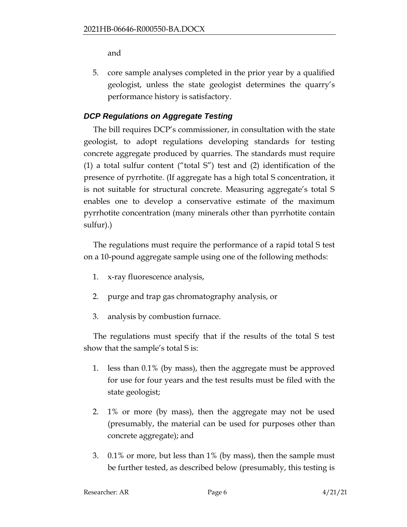and

5. core sample analyses completed in the prior year by a qualified geologist, unless the state geologist determines the quarry's performance history is satisfactory.

## *DCP Regulations on Aggregate Testing*

The bill requires DCP's commissioner, in consultation with the state geologist, to adopt regulations developing standards for testing concrete aggregate produced by quarries. The standards must require (1) a total sulfur content ("total S") test and (2) identification of the presence of pyrrhotite. (If aggregate has a high total S concentration, it is not suitable for structural concrete. Measuring aggregate's total S enables one to develop a conservative estimate of the maximum pyrrhotite concentration (many minerals other than pyrrhotite contain sulfur).)

The regulations must require the performance of a rapid total S test on a 10-pound aggregate sample using one of the following methods:

- 1. x-ray fluorescence analysis,
- 2. purge and trap gas chromatography analysis, or
- 3. analysis by combustion furnace.

The regulations must specify that if the results of the total S test show that the sample's total S is:

- 1. less than 0.1% (by mass), then the aggregate must be approved for use for four years and the test results must be filed with the state geologist;
- 2. 1% or more (by mass), then the aggregate may not be used (presumably, the material can be used for purposes other than concrete aggregate); and
- 3. 0.1% or more, but less than 1% (by mass), then the sample must be further tested, as described below (presumably, this testing is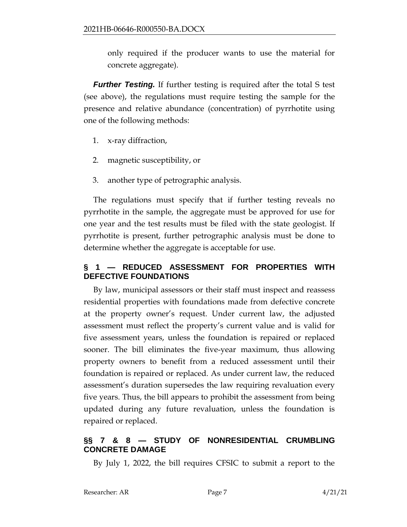only required if the producer wants to use the material for concrete aggregate).

*Further Testing.* If further testing is required after the total S test (see above), the regulations must require testing the sample for the presence and relative abundance (concentration) of pyrrhotite using one of the following methods:

- 1. x-ray diffraction,
- 2. magnetic susceptibility, or
- 3. another type of petrographic analysis.

The regulations must specify that if further testing reveals no pyrrhotite in the sample, the aggregate must be approved for use for one year and the test results must be filed with the state geologist. If pyrrhotite is present, further petrographic analysis must be done to determine whether the aggregate is acceptable for use.

## **§ 1 — REDUCED ASSESSMENT FOR PROPERTIES WITH DEFECTIVE FOUNDATIONS**

By law, municipal assessors or their staff must inspect and reassess residential properties with foundations made from defective concrete at the property owner's request. Under current law, the adjusted assessment must reflect the property's current value and is valid for five assessment years, unless the foundation is repaired or replaced sooner. The bill eliminates the five-year maximum, thus allowing property owners to benefit from a reduced assessment until their foundation is repaired or replaced. As under current law, the reduced assessment's duration supersedes the law requiring revaluation every five years. Thus, the bill appears to prohibit the assessment from being updated during any future revaluation, unless the foundation is repaired or replaced.

## **§§ 7 & 8 — STUDY OF NONRESIDENTIAL CRUMBLING CONCRETE DAMAGE**

By July 1, 2022, the bill requires CFSIC to submit a report to the